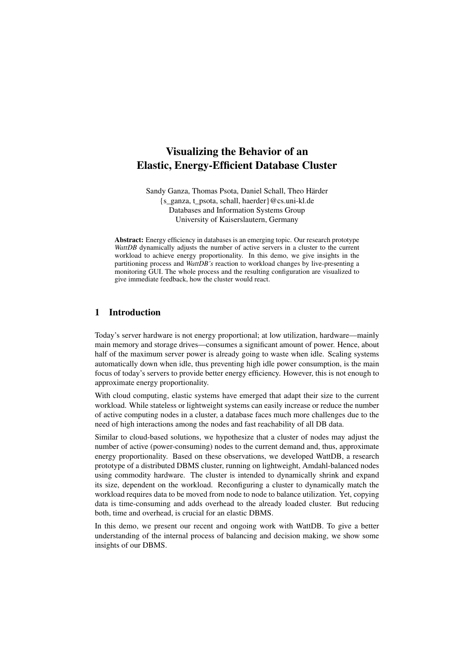# Visualizing the Behavior of an Elastic, Energy-Efficient Database Cluster

Sandy Ganza, Thomas Psota, Daniel Schall, Theo Härder {s\_ganza, t\_psota, schall, haerder}@cs.uni-kl.de Databases and Information Systems Group University of Kaiserslautern, Germany

Abstract: Energy efficiency in databases is an emerging topic. Our research prototype *WattDB* dynamically adjusts the number of active servers in a cluster to the current workload to achieve energy proportionality. In this demo, we give insights in the partitioning process and *WattDB's* reaction to workload changes by live-presenting a monitoring GUI. The whole process and the resulting configuration are visualized to give immediate feedback, how the cluster would react.

## 1 Introduction

Today's server hardware is not energy proportional; at low utilization, hardware—mainly main memory and storage drives—consumes a significant amount of power. Hence, about half of the maximum server power is already going to waste when idle. Scaling systems automatically down when idle, thus preventing high idle power consumption, is the main focus of today's servers to provide better energy efficiency. However, this is not enough to approximate energy proportionality.

With cloud computing, elastic systems have emerged that adapt their size to the current workload. While stateless or lightweight systems can easily increase or reduce the number of active computing nodes in a cluster, a database faces much more challenges due to the need of high interactions among the nodes and fast reachability of all DB data.

Similar to cloud-based solutions, we hypothesize that a cluster of nodes may adjust the number of active (power-consuming) nodes to the current demand and, thus, approximate energy proportionality. Based on these observations, we developed WattDB, a research prototype of a distributed DBMS cluster, running on lightweight, Amdahl-balanced nodes using commodity hardware. The cluster is intended to dynamically shrink and expand its size, dependent on the workload. Reconfiguring a cluster to dynamically match the workload requires data to be moved from node to node to balance utilization. Yet, copying data is time-consuming and adds overhead to the already loaded cluster. But reducing both, time and overhead, is crucial for an elastic DBMS.

In this demo, we present our recent and ongoing work with WattDB. To give a better understanding of the internal process of balancing and decision making, we show some insights of our DBMS.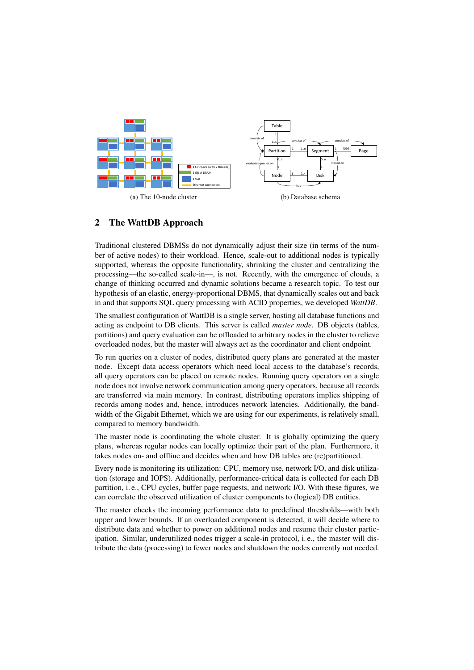<span id="page-1-0"></span>

# 2 The WattDB Approach

Traditional clustered DBMSs do not dynamically adjust their size (in terms of the number of active nodes) to their workload. Hence, scale-out to additional nodes is typically supported, whereas the opposite functionality, shrinking the cluster and centralizing the processing—the so-called scale-in—, is not. Recently, with the emergence of clouds, a change of thinking occurred and dynamic solutions became a research topic. To test our hypothesis of an elastic, energy-proportional DBMS, that dynamically scales out and back in and that supports SQL query processing with ACID properties, we developed *WattDB*.

The smallest configuration of WattDB is a single server, hosting all database functions and acting as endpoint to DB clients. This server is called *master node*. DB objects (tables, partitions) and query evaluation can be offloaded to arbitrary nodes in the cluster to relieve overloaded nodes, but the master will always act as the coordinator and client endpoint.

To run queries on a cluster of nodes, distributed query plans are generated at the master node. Except data access operators which need local access to the database's records, all query operators can be placed on remote nodes. Running query operators on a single node does not involve network communication among query operators, because all records are transferred via main memory. In contrast, distributing operators implies shipping of records among nodes and, hence, introduces network latencies. Additionally, the bandwidth of the Gigabit Ethernet, which we are using for our experiments, is relatively small, compared to memory bandwidth.

The master node is coordinating the whole cluster. It is globally optimizing the query plans, whereas regular nodes can locally optimize their part of the plan. Furthermore, it takes nodes on- and offline and decides when and how DB tables are (re)partitioned.

Every node is monitoring its utilization: CPU, memory use, network I/O, and disk utilization (storage and IOPS). Additionally, performance-critical data is collected for each DB partition, i. e., CPU cycles, buffer page requests, and network I/O. With these figures, we can correlate the observed utilization of cluster components to (logical) DB entities.

The master checks the incoming performance data to predefined thresholds—with both upper and lower bounds. If an overloaded component is detected, it will decide where to distribute data and whether to power on additional nodes and resume their cluster participation. Similar, underutilized nodes trigger a scale-in protocol, i. e., the master will distribute the data (processing) to fewer nodes and shutdown the nodes currently not needed.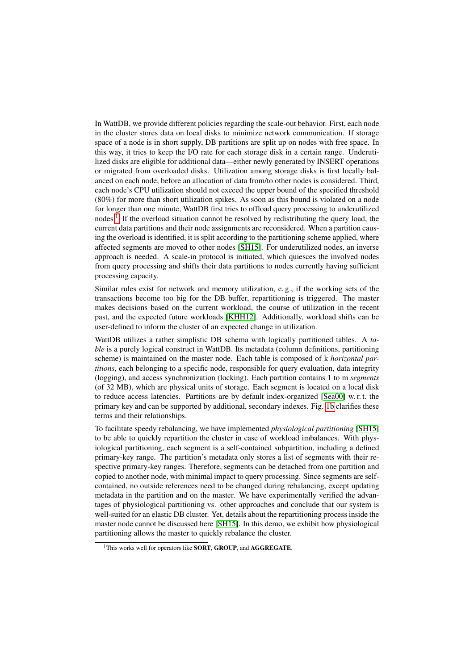In WattDB, we provide different policies regarding the scale-out behavior. First, each node in the cluster stores data on local disks to minimize network communication. If storage space of a node is in short supply, DB partitions are split up on nodes with free space. In this way, it tries to keep the I/O rate for each storage disk in a certain range. Underutilized disks are eligible for additional data—either newly generated by INSERT operations or migrated from overloaded disks. Utilization among storage disks is first locally balanced on each node, before an allocation of data from/to other nodes is considered. Third, each node's CPU utilization should not exceed the upper bound of the specified threshold (80%) for more than short utilization spikes. As soon as this bound is violated on a node for longer than one minute, WattDB first tries to offload query processing to underutilized nodes.<sup>[1](#page-2-0)</sup> If the overload situation cannot be resolved by redistributing the query load, the current data partitions and their node assignments are reconsidered. When a partition causing the overload is identified, it is split according to the partitioning scheme applied, where affected segments are moved to other nodes [\[SH15\]](#page-3-0). For underutilized nodes, an inverse approach is needed. A scale-in protocol is initiated, which quiesces the involved nodes from query processing and shifts their data partitions to nodes currently having sufficient processing capacity.

Similar rules exist for network and memory utilization, e. g., if the working sets of the transactions become too big for the DB buffer, repartitioning is triggered. The master makes decisions based on the current workload, the course of utilization in the recent past, and the expected future workloads [\[KHH12\]](#page-3-1). Additionally, workload shifts can be user-defined to inform the cluster of an expected change in utilization.

WattDB utilizes a rather simplistic DB schema with logically partitioned tables. A *table* is a purely logical construct in WattDB. Its metadata (column definitions, partitioning scheme) is maintained on the master node. Each table is composed of k *horizontal partitions*, each belonging to a specific node, responsible for query evaluation, data integrity (logging), and access synchronization (locking). Each partition contains 1 to m *segments* (of 32 MB), which are physical units of storage. Each segment is located on a local disk to reduce access latencies. Partitions are by default index-organized [\[Sea00\]](#page-3-2) w. r. t. the primary key and can be supported by additional, secondary indexes. Fig. [1b](#page-1-0) clarifies these terms and their relationships.

To facilitate speedy rebalancing, we have implemented *physiological partitioning* [\[SH15\]](#page-3-0) to be able to quickly repartition the cluster in case of workload imbalances. With physiological partitioning, each segment is a self-contained subpartition, including a defined primary-key range. The partition's metadata only stores a list of segments with their respective primary-key ranges. Therefore, segments can be detached from one partition and copied to another node, with minimal impact to query processing. Since segments are selfcontained, no outside references need to be changed during rebalancing, except updating metadata in the partition and on the master. We have experimentally verified the advantages of physiological partitioning vs. other approaches and conclude that our system is well-suited for an elastic DB cluster. Yet, details about the repartitioning process inside the master node cannot be discussed here [\[SH15\]](#page-3-0). In this demo, we exhibit how physiological partitioning allows the master to quickly rebalance the cluster.

<span id="page-2-0"></span><sup>&</sup>lt;sup>1</sup>This works well for operators like **SORT**, **GROUP**, and **AGGREGATE**.